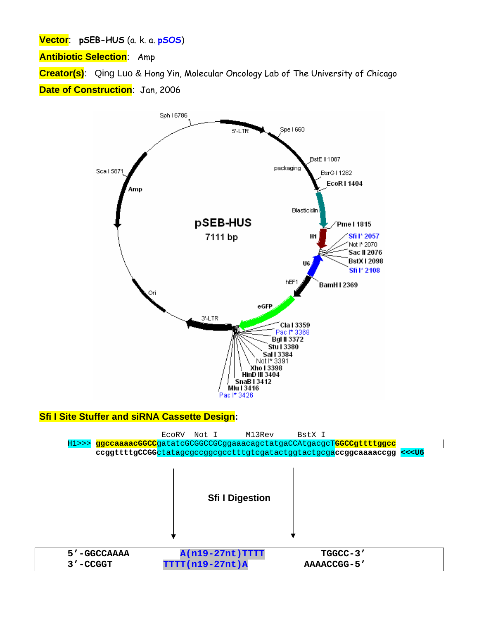Vector: pSEB-HUS (a. k. a. pSOS)

**Antibiotic Selection: Amp** 

Creator(s): Qing Luo & Hong Yin, Molecular Oncology Lab of The University of Chicago Date of Construction: Jan, 2006

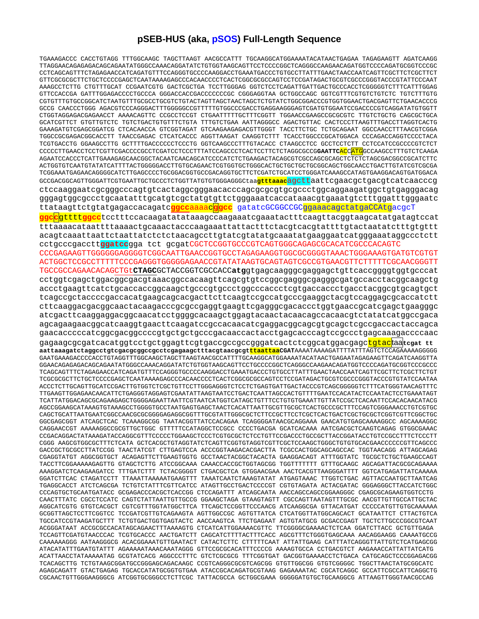## **pSEB-HUS (aka, pSOS) Full-Length Sequence**

TGAAAGACCC CACCTGTAGG TTTGGCAAGC TAGCTTAAGT AACGCCATTT TGCAAGGCATGGAAAATACATAACTGAGAA TAGAGAAGTT AGATCAAGG TTAGGAACAGAGAGACAGCAGAATATGGGCCAAACAGGATATCTGTGGTAAGCAGTTCCTCCCCGGCTCAGGGCCAAGAACAGATGGTCCCCAGATGCGGTCCCGC CCTCAGCAGTTTCTAGAGAACCATCAGATGTTTCCAGGGTGCCCCAAGGACCTGAAATGACCCTGTGCCTTATTTGAACTAACCAATCAGTTCGCTTCTCGCTTCT GTTCGCGCGCTTCTGCTCCCCGAGCTCAATAAAAGAGCCCACAACCCCTCACTCGGCGCGCCAGTCCTCCGATAGACTGCGTCGCCCGGGTACCCGTATTCCCAAT AAAGCCTCTTG CTGTTTGCAT CCGAATCGTG GACTCGCTGA TCCTTGGGAG GGTCTCCTCAGATTGATTGACTGCCCACCTCGGGGGTCTTTCATTTGGAG GTTCCACCGA GATTTGGAGACCCCTGCCCA GGGACCACCGACCCCCCCGC CGGGAGGTAA GCTGGCCAGC GGTCGTTTCGTGTCTGTCTC TGTCTTTGTG CGTGTTTGTGCCGGCATCTAATGTTTGCGCCTGCGTCTGTACTAGTTAGCTAACTAGCTCTGTATCTGGCGGACCCGTGGTGGAACTGACGAGTTCTGAACACCCG GCCG CAACCCTGGG AGACGTCCCAGGGACTTTGGGGGCCGTTTTTGTGGCCCGACCTGAGGAAGGGAGTCGATGTGGAATCCGACCCCGTCAGGATATGTGGTT CTGGTAGGAGACGAGAACCT AAAACAGTTC CCGCCTCCGT CTGAATTTTTGCTTTCGGTT TGGAACCGAAGCCGCGCGTC TTGTCTGCTG CAGCGCTGCA GCATCGTTCT GTGTTGTCTC TGTCTGACTGTGTTTCTGTA TTTGTCTGAA AATTAGGGCC AGACTGTTAC CACTCCCTTAAGTTTGACCTTAGGTCACTG GAAAGATGTCGAGCGGATCG CTCACAACCA GTCGGTAGAT GTCAAGAAGAGACGTTGGGT TACCTTCTGC TCTGCAGAAT GGCCAACCTTTAACGTCGGA TGGCCGCGAGACGGCACCTT TAACCGAGAC CTCATCACCC AGGTTAAGAT CAAGGTCTTT TCACCTGGCCCGCATGGACA CCCAGACCAGGTCCCCTACA TCGTGACCTG GGAAGCCTTG GCTTTTGACCCCCCTCCCTG GGTCAAGCCCTTTGTACACC CTAAGCCTCC GCCTCCTCTT CCTCCATCCGCCCCGTCTCT CCCCCTTGAACCTCCTCGTTCGACCCCGCCTCGATCCTCCCTTTATCCAGCCCTCACTCCTTCTCTAGGCGCCG**GAATTC**ACCATGGCCAAGCCTTTGTCTCAAGA AGAATCCACCCTCATTGAAAGAGCAACGGCTACAATCAACAGCATCCCCATCTCTGAAGACTACAGCGTCGCCAGCGCAGCTCTCTCTAGCGACGGCCGCATCTTC ACTGGTGTCAATGTATATCATTTTACTGGGGGACCTTGTGCAGAACTCGTGGTGCTGGGCACTGCTGCTGCTGCGGCAGCTGGCAACCTGACTTGTATCGTCGCGA TCGGAAATGAGAACAGGGGCATCTTGAGCCCCTGCGGACGGTGCCGACAGGTGCTTCTCGATCTGCATCCTGGGATCAAAGCCATAGTGAAGGACAGTGATGGACA GCCGACGGCAGTTGGGATTCGTGAATTGCTGCCCTCTGGTTATGTGTGGGAGGGCtaa**gtttaaac**agcttaattcgaacgctgacgtcatcaacccg ctccaaggaatcgcgggcccagtgtcactaggcgggaacacccagcgcgcgtgcgccctggcaggaagatggctgtgagggacag gggagtggcgccctgcaatatttgcatgtcgctatgtgttctgggaaatcaccataaacgtgaaatgtctttggatttgggaatc ttataagttctgtatgagaccacagatc**ggcc**aaaac**ggcc** gatatcGCGGCCGCggaaacagctatgaCCAtgacgcT <mark>ggccc</mark>gtttt**tggcc**tcctttccacaagatatataaagccaagaaatcgaaatactttcaagttacggtaagcatatgatagtccat tttaaaacataattttaaaactgcaaactacccaagaaattattactttctacgtcacgtattttgtactaatatctttgtgttt acagtcaaattaattctaattatctctctaacagccttgtatcgtatatgcaaatatgaaggaatcatgggaaataggccctctt cctgcccgacctt**ggatcc**gga tct gcgatCGCTCCGGTGCCCGTCAGTGGGCAGAGCGCACATCGCCCACAGTC CCCGAGAAGTTGGGGGGAGGGGTCGGCAATTGAACCGGTGCCTAGAGAAGGTGGCGCGGGGTAAACTGGGAAAGTGATGTCGTGT ACTGGCTCCGCCTTTTTCCCGAGGGTGGGGGAGAACCGTATATAAGTGCAGTAGTCGCCGTGAACGTTCTTTTTCGCAACGGGTT TGCCGCCAGAACACAGCTGt**CTAGC**GCTACCGGTCGCCACC**atg**gtgagcaagggcgaggagctgttcaccggggtggtgcccat cctggtcgagctggacggcgacgtaaacggccacaagttcagcgtgtccggcgagggcgagggcgatgccacctacggcaagctg accctgaagttcatctgcaccaccggcaagctgcccgtgccctggcccaccctcgtgaccaccctgacctacggcgtgcagtgct tcagccgctaccccgaccacatgaagcagcacgacttcttcaagtccgccatgcccgaaggctacgtccaggagcgcaccatctt cttcaaggacgacggcaactacaagacccgcgccgaggtgaagttcgagggcgacaccctggtgaaccgcatcgagctgaagggc atcgacttcaaggaggacggcaacatcctggggcacaagctggagtacaactacaacagccacaacgtctatatcatggccgaca agcagaagaacggcatcaaggtgaacttcaagatccgccacaacatcgaggacggcagcgtgcagctcgccgaccactaccagca gaacacccccatcggcgacggccccgtgctgctgcccgacaaccactacctgagcacccagtccgccctgagcaaagaccccaac gagaagcgcgatcacatggtcctgctggagttcgtgaccgccggcgggatcactctcggcatggacgagc<mark>tgtac</mark>taatcgat tt **aattaaagatctaggcctgtcgacgcggccgcctcgagaagctttacgtaacgcgtttaattaaCGAT**AAAATAAAAGATTTTATTTAGTCTCCAGAAAAAGGGGG GAATGAAAGACCCCACCTGTAGGTTTGGCAAGCTAGCTTAAGTAACGCCATTTTGCAAGGCATGGAAAATACATAACTGAGAATAGAGAAGTTCAGATCAAGGTTA GGAACAGAGAGACAGCAGAATATGGGCCAAACAGGATATCTGTGGTAAGCAGTTCCTGCCCCGGCTCAGGGCCAAGAACAGATGGTCCCCAGATGCGGTCCCGCCC TCAGCAGTTTCTAGAGAACCATCAGATGTTTCCAGGGTGCCCCAAGGACCTGAAATGACCCTGTGCCTTATTTGAACTAACCAATCAGTTCGCTTCTCGCTTCTGT TCGCGCGCTTCTGCTCCCCGAGCTCAATAAAAGAGCCCACAACCCCTCACTCGGCGCGCCAGTCCTCCGATAGACTGCGTCGCCCGGGTACCCGTGTATCCAATAA ACCCTCTTGCAGTTGCATCCGACTTGTGGTCTCGCTGTTCCTTGGGAGGGTCTCCTCTGAGTGATTGACTACCCGTCAGCGGGGGTCTTTCATGGGTAACAGTTTC TTGAAGTTGGAGAACAACATTCTGAGGGTAGGAGTCGAATATTAAGTAATCCTGACTCAATTAGCCACTGTTTTGAATCCACATACTCCAATACTCCTGAAATAGT TCATTATGGACAGCGCAGAAGAGCTGGGGAGAATTAATTCGTAATCATGGTCATAGCTGTTTCCTGTGTGAAATTGTTATCCGCTCACAATTCCACACAACATACG AGCCGGAAGCATAAAGTGTAAAGCCTGGGGTGCCTAATGAGTGAGCTAACTCACATTAATTGCGTTGCGCTCACTGCCCGCTTTCCAGTCGGGAAACCTGTCGTGC CAGCTGCATTAATGAATCGGCCAACGCGCGGGGAGAGGCGGTTTGCGTATTGGGCGCTCTTCCGCTTCCTCGCTCACTGACTCGCTGCGCTCGGTCGTTCGGCTGC GGCGAGCGGT ATCAGCTCAC TCAAAGGCGG TAATACGGTTATCCACAGAA TCAGGGGATAACGCAGGAAA GAACATGTGAGCAAAAGGCC AGCAAAAGGC CAGGAACCGT AAAAAGGCCGCGTTGCTGGC GTTTTTCCATAGGCTCCGCC CCCCTGACGA GCATCACAAA AATCGACGCTCAAGTCAGAG GTGGCGAAAC CCGACAGGACTATAAAGATACCAGGCGTTTCCCCCTGGAAGCTCCCTCGTGCGCTCTCCTGTTCCGACCCTGCCGCTTACCGGATACCTGTCCGCCTTTCTCCCTT CGGG AAGCGTGGCGCTTTCTCATA GCTCACGCTGTAGGTATCTCAGTTCGGTGTAGGTCGTTCGCTCCAAGCTGGGCTGTGTGCACGAACCCCCCGTTCAGCCC GACCGCTGCGCCTTATCCGG TAACTATCGT CTTGAGTCCA ACCCGGTAAGACACGACTTA TCGCCACTGGCAGCAGCCAC TGGTAACAGG ATTAGCAGAG CGAGGTATGT AGGCGGTGCT ACAGAGTTCTTGAAGTGGTG GCCTAACTACGGCTACACTA GAAGGACAGT ATTTGGTATC TGCGCTCTGCTGAAGCCAGT TACCTTCGGAAAAAGAGTTG GTAGCTCTTG ATCCGGCAAA CAAACCACCGCTGGTAGCGG TGGTTTTTTT GTTTGCAAGC AGCAGATTACGCGCAGAAAA AAAGGATCTCAAGAAGATCC TTTGATCTTT TCTACGGGGT CTGACGCTCA GTGGAACGAA AACTCACGTTAAGGGATTTT GGTCATGAGATTATCAAAAA GGATCTTCAC CTAGATCCTT TTAAATTAAAAATGAAGTTT TAAATCAATCTAAAGTATAT ATGAGTAAAC TTGGTCTGAC AGTTACCAATGCTTAATCAG TGAGGCACCT ATCTCAGCGA TCTGTCTATTTCGTTCATCC ATAGTTGCCTGACTCCCCGT CGTGTAGATA ACTACGATAC GGGAGGGCTTACCATCTGGC CCCAGTGCTGCAATGATACC GCGAGACCCACGCTCACCGG CTCCAGATTT ATCAGCAATA AACCAGCCAGCCGGAAGGGC CGAGCGCAGAAGTGGTCCTG CAACTTTATC CGCCTCCATC CAGTCTATTAATTGTTGCCG GGAAGCTAGA GTAAGTAGTT CGCCAGTTAATAGTTTGCGC AACGTTGTTGCCATTGCTAC AGGCATCGTG GTGTCACGCT CGTCGTTTGGTATGGCTTCA TTCAGCTCCGGTTCCCAACG ATCAAGGCGA GTTACATGAT CCCCCATGTTGTGCAAAAAA GCGGTTAGCTCCTTCGGTCC TCCGATCGTTGTCAGAAGTA AGTTGGCCGC AGTGTTATCA CTCATGGTTATGGCAGCACT GCATAATTCT CTTACTGTCA TGCCATCCGTAAGATGCTTT TCTGTGACTGGTGAGTACTC AACCAAGTCA TTCTGAGAAT AGTGTATGCG GCGACCGAGT TGCTCTTGCCCGGCGTCAAT ACGGGATAAT ACCGCGCCACATAGCAGAACTTTAAAAGTG CTCATCATTGGAAAACGTTC TTCGGGGCGAAAACTCTCAA GGATCTTACC GCTGTTGAGA TCCAGTTCGATGTAACCCAC TCGTGCACCC AACTGATCTT CAGCATCTTTTACTTTCACC AGCGTTTCTGGGTGAGCAAA AACAGGAAGG CAAAATGCCG CAAAAAAGGG AATAAGGGCG ACACGGAAATGTTGAATACT CATACTCTTC CTTTTTCAAT ATTATTGAAG CATTTATCAGGGTTATTGTCTCATGAGCGG ATACATATTTGAATGTATTT AGAAAAATAAACAAATAGGG GTTCCGCGCACATTTCCCCG AAAAGTGCCA CCTGACGTCT AAGAAACCATTATTATCATG ACATTAACCTATAAAAATAG GCGTATCACG AGGCCCTTTC GTCTCGCGCG TTTCGGTGAT GACGGTGAAAACCTCTGACA CATGCAGCTCCCGGAGACGG TCACAGCTTG TCTGTAAGCGGATGCCGGGAGCAGACAAGC CCGTCAGGGCGCGTCAGCGG GTGTTGGCGG GTGTCGGGGC TGGCTTAACTATGCGGCATC AGAGCAGATT GTACTGAGAG TGCACCATATGCGGTGTGAA ATACCGCACAGATGCGTAAG GAGAAAATAC CGCATCAGGC GCCATTCGCCATTCAGGCTG CGCAACTGTTGGGAAGGGCG ATCGGTGCGGGCCTCTTCGC TATTACGCCA GCTGGCGAAA GGGGGATGTGCTGCAAGGCG ATTAAGTTGGGTAACGCCAG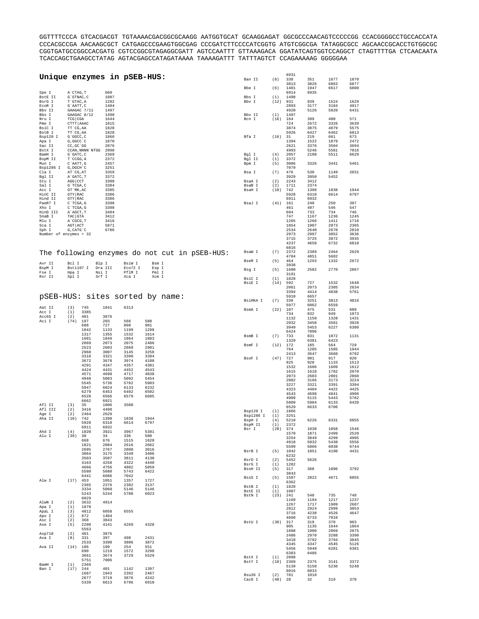GGTTTTCCCA GTCACGACGT TGTAAAACGACGCGCAAGG AATGGTGCAT GCAAGGAGAT GGCGCCCAACAGTCCCCCGG CCACGGGGCCTGCCACCATA CCCACGCCGA AACAAGCGCT CATGAGCCCGAAGTGGCGAG CCCGATCTTCCCCATCGGTG ATGTCGGCGA TATAGGCGCC AGCAACCGCACCTGTGGCGC CGGTGATGCCGGCCACGATG CGTCCGGCGTAGAGGCGATT AGTCCAATTT GTTAAAGACA GGATATCAGTGGTCCAGGCT CTAGTTTTGA CTCAACAATA TCACCAGCTGAAGCCTATAG AGTACGAGCCATAGATAAAA TAAAAGATTT TATTTAGTCT CCAGAAAAAG GGGGGAA

| Unique enzymes in pSEB-HUS:     |                         |                  |              |              |              |  |                                               | Ban II                    | (8)         | 6931<br>338  | 351          | 1677         | 1870         |
|---------------------------------|-------------------------|------------------|--------------|--------------|--------------|--|-----------------------------------------------|---------------------------|-------------|--------------|--------------|--------------|--------------|
|                                 |                         |                  |              |              |              |  |                                               |                           |             | 3813         | 3826         | 6863         | 6877         |
|                                 |                         |                  |              |              |              |  |                                               | Bbe I                     | (6)         | 1401         | 1947         | 6617         | 6800         |
| Spe I<br>BstE II                | A`CTAG, T<br>G`GTNAC, C |                  | 660<br>1087  |              |              |  |                                               | Bbs I                     | (1)         | 6914<br>1498 | 6935         |              |              |
| BsrG I                          | T`GTAC, A               |                  | 1282         |              |              |  |                                               | Bbv I                     | (12)        | 931          | 939          | 1524         | 1629         |
| ECOR I                          | G`AATT, C               |                  | 1404         |              |              |  |                                               |                           |             | 2893         | 3177         | 3184         | 4917         |
| Bby II                          |                         | GAAGAC 7/11      | 1497         |              |              |  |                                               |                           |             | 4920         | 5126         | 5820         | 6431         |
| Bbs I                           |                         | GAAGAC 8/12      | 1498         |              |              |  |                                               | Bbv II                    | (1)         | 1497         |              |              |              |
| Nru I                           | TCG CGA                 |                  | 1644         |              |              |  |                                               | Bcn I                     | (16)        | 164          | 399          | 400          | 571          |
| Pme I                           | CTTT AAAC               |                  | 1815         |              |              |  |                                               |                           |             | 724          | 2672         | 3326         | 3639         |
| BsiC I                          | TT'CG, AA               |                  | 1828         |              |              |  |                                               |                           |             | 3874         | 3875         | 4879         | 5575         |
| BstB I                          | TT CG, AA               |                  | 1828         |              |              |  |                                               |                           |             | 5926         | 6427         | 6462         | 6813         |
| Bsp120 I                        | G`GGCC, C               |                  | 1866         |              |              |  |                                               | Bfa I                     | (16)        | 31           | 219          | 661          | 673          |
| Apa I                           | G, GGCC `C              |                  | 1870         |              |              |  |                                               |                           |             | 1394         | 1522         | 1879         | 2472         |
| Sac II<br>BstX I                | CC, GC 'GG              | CCAN, NNNN `NTGG | 2076<br>2098 |              |              |  |                                               |                           |             | 2621<br>4993 | 3376<br>5246 | 3504<br>5581 | 3694<br>7016 |
| BamH I                          | G`GATC, C               |                  | 2369         |              |              |  |                                               | Bgl I                     | (4)         | 2057         | 2108         | 5511         | 6629         |
| BspM II                         | T`CCGG, A               |                  | 2372         |              |              |  |                                               | Bql II                    | (1)         | 3372         |              |              |              |
| Mun I                           | C`AATT, G               |                  | 2457         |              |              |  |                                               | Bpm I                     | (5)         | 3086         | 3326         | 3441         | 5461         |
| Bsp1286 I                       | G, DGCH `C              |                  | 3251         |              |              |  |                                               |                           |             | 7079         |              |              |              |
| Cla I                           | AT CG, AT               |                  | 3359         |              |              |  |                                               | Bsa I                     | (7)         | 476          | 530          | 1149         | 2031         |
| Bgl II                          | A`GATC, T               |                  | 3372         |              |              |  |                                               |                           |             | 3929         | 3950         | 5452         |              |
| Stu I<br>Sal I                  | AGG CCT                 |                  | 3380         |              |              |  |                                               | BsaA I<br>BsaB I          | (2)         | 2243         | 3412<br>2374 |              |              |
| Acc I                           | G`TCGA, C<br>GT `MK, AC |                  | 3384<br>3385 |              |              |  |                                               | BsaH I                    | (2)<br>(10) | 1711<br>742  | 1398         | 1838         | 1944         |
| HinC II                         | GTY RAC                 |                  | 3386         |              |              |  |                                               |                           |             | 5928         | 6310         | 6614         | 6797         |
| Hind II                         | GTY RAC                 |                  | 3386         |              |              |  |                                               |                           |             | 6911         | 6932         |              |              |
| PaeR7 I                         | C`TCGA, G               |                  | 3398         |              |              |  |                                               | BsaJ I                    | (41)        | 161          | 240          | 250          | 397          |
| Xho I                           | C`TCGA, G               |                  | 3398         |              |              |  |                                               |                           |             | 461          | 497          | 546          | 547          |
| HinD III                        | A`AGCT, T               |                  | 3404         |              |              |  |                                               |                           |             | 694          | 733          | 734          | 746          |
| SnaB I                          | TAC GTA                 |                  | 3412         |              |              |  |                                               |                           |             | 747          | 1167         | 1236         | 1245         |
| Mlu I                           | A CGCG, T               |                  | 3416<br>5871 |              |              |  |                                               |                           |             | 1265<br>1854 | 1266<br>1907 | 1411         | 1716<br>2365 |
| Sca I<br>Sph I                  | AGT ACT<br>G, CATG C    |                  | 6786         |              |              |  |                                               |                           |             | 2534         | 2640         | 2073<br>2670 | 2810         |
| Number of enzymes = 32          |                         |                  |              |              |              |  |                                               |                           |             | 2973         | 2997         | 3052         | 3636         |
|                                 |                         |                  |              |              |              |  |                                               |                           |             | 3715         | 3725         | 3872         | 3935         |
|                                 |                         |                  |              |              |              |  |                                               |                           |             | 4237         | 4658         | 6732         | 6810         |
|                                 |                         |                  |              |              |              |  |                                               |                           |             | 6816         |              |              |              |
|                                 |                         |                  |              |              |              |  | The following enzymes do not cut in pSEB-HUS: | BsaW I                    | (7)         | 2372         | 2389         | 2464         | 2629         |
|                                 |                         |                  |              |              |              |  |                                               |                           |             | 4704         | 4851         | 5682         |              |
| Avr II                          | Bcl I                   |                  | Blp I        | BsiW I       | Bsm I        |  |                                               | BseR I                    | (5)         | 464          | 1293         | 1332         | 2672         |
| BspM I                          | Bst1107 I               |                  | Dra III      | Eco72 I      | Esp I        |  |                                               |                           | (5)         | 3938         | 2582         | 2770         | 2867         |
| Fse I                           | Hpa I                   |                  | Nsi I        | PflM I       | Pml I        |  |                                               | Bsg I                     |             | 1600<br>3191 |              |              |              |
| Rsr II                          | Spl I                   |                  | Srf I        | Xca I        | Xcm I        |  |                                               | BsiC I                    | (1)         | 1828         |              |              |              |
|                                 |                         |                  |              |              |              |  |                                               | BsiE I                    | (14)        | 592          | 727          | 1532         | 1648         |
|                                 |                         |                  |              |              |              |  |                                               |                           |             | 2061         | 2073         | 2385         | 2634         |
|                                 |                         |                  |              |              |              |  |                                               |                           |             | 3394         | 4414         | 4838         | 5761         |
| pSEB-HUS: sites sorted by name: |                         |                  |              |              |              |  |                                               |                           |             | 5910         | 6657         |              |              |
|                                 |                         |                  |              |              |              |  |                                               | BsiHKA I                  | (7)         | 338<br>5977  | 3251<br>6062 | 3813<br>6559 | 4816         |
| Aat II                          | (3)                     | 745              | 1841         | 6313         |              |  |                                               | BsmA I                    | (22)        | 107          | 475          | 531          | 609          |
| Acc I                           | (1)                     | 3385             |              |              |              |  |                                               |                           |             | 734          | 832          | 949          | 1073         |
| Acc65 I                         | (2)                     | 401              | 3876         |              |              |  |                                               |                           |             | 1132         | 1150         | 1328         | 1431         |
| Aci I                           | (74)                    | 197<br>688       | 203<br>727   | 566<br>860   | 588<br>901   |  |                                               |                           |             | 2032         | 3458         | 3581         | 3928         |
|                                 |                         | 1042             | 1133         | 1199         | 1298         |  |                                               |                           |             | 3949         | 5453         | 6227         | 6380         |
|                                 |                         | 1317             | 1355         | 1532         | 1614         |  |                                               |                           |             | 6424         | 7096         |              |              |
|                                 |                         | 1681             | 1849         | 1864         | 1883         |  |                                               | BsmB I                    | (7)         | 733          | 831          | 1072         | 1131         |
|                                 |                         | 2069             | 2073         | 2075         | 2486         |  |                                               | BsmF I                    | (12)        | 1329<br>172  | 6381<br>185  | 6423<br>564  | 729          |
|                                 |                         | 2523             | 2603         | 2860         | 2901         |  |                                               |                           |             | 764          | 1205         | 1585         | 1944         |
|                                 |                         | 2968             | 3007         | 3145         | 3258         |  |                                               |                           |             | 2413         | 3647         | 3660         | 6792         |
|                                 |                         | 3318             | 3321         | 3390         | 3394         |  |                                               | BsoF I                    | (47)        | 727          | 901          | 917          | 920          |
|                                 |                         | 3672             | 3678         | 3974         | 4188         |  |                                               |                           |             | 925          | 928          | 1133         | 1513         |
|                                 |                         | 4291<br>4424     | 4347<br>4431 | 4357<br>4452 | 4381<br>4543 |  |                                               |                           |             | 1532         | 1606         | 1609         | 1612         |
|                                 |                         | 4571             | 4698         | 4717         | 4838         |  |                                               |                           |             | 1615         | 1618         | 1782         | 2070         |
|                                 |                         | 4948             | 5083         | 5092         | 5454         |  |                                               |                           |             | 2073         | 2603         | 2801         | 2860         |
|                                 |                         | 5545             | 5736         | 5782         | 5903         |  |                                               |                           |             | 2882<br>3227 | 3166<br>3321 | 3173<br>3391 | 3224<br>3394 |
|                                 |                         | 5947             | 6024         | 6133         | 6232         |  |                                               |                           |             | 4323         | 4404         | 4422         | 4425         |
|                                 |                         | 6279             | 6453         | 6492         | 6502         |  |                                               |                           |             | 4543         | 4698         | 4841         | 4906         |
|                                 |                         | 6528             | 6566         | 6579         | 6605         |  |                                               |                           |             | 4909         | 5115         | 5443         | 5782         |
|                                 |                         | 6662             | 6921         |              |              |  |                                               |                           |             | 5809         | 5904         | 6133         | 6420         |
| Afl II                          | (3)                     | 35               | 1006         | 3508         |              |  |                                               |                           |             | 6529         | 6633         | 6706         |              |
| Afl III<br>Age I                | (2)<br>(2)              | 3416<br>2464     | 4498<br>2629 |              |              |  |                                               | Bsp120 I                  | (1)         | 1866         |              |              |              |
| Aha II                          | (10)                    | 742              | 1398         | 1838         | 1944         |  |                                               | Bsp1286 I                 | (1)         | 3251         |              |              |              |
|                                 |                         | 5928             | 6310         | 6614         | 6797         |  |                                               | BspH I<br><b>B</b> spM TT | (4)<br>(1)  | 5218<br>2372 | 6226         | 6331         | 6855         |
|                                 |                         | 6911             | 6932         |              |              |  |                                               | Bsr I                     | $(20)$ 374  |              | 1030         | 1058         | 1546         |
| Ahd I                           | (4)                     | 1020             | 3921         | 3967         | 5391         |  |                                               |                           |             | 1570         | 1871         | 2499         | 2520         |
| Alu I                           | (39)                    | 30               | 34           | 336          | 580          |  |                                               |                           |             | 3254         | 3849         | 4299         | 4905         |
|                                 |                         | 668              | 676          | 1515         | 1620         |  |                                               |                           |             | 4918         | 5032         | 5438         | 5556         |
|                                 |                         | 1821             | 2084         | 2616         | 2662         |  |                                               |                           |             | 5599         | 5866         | 6038         | 6744         |
|                                 |                         | 2695<br>3064     | 2767<br>3175 | 2800<br>3349 | 3016<br>3406 |  |                                               | BsrB I                    | (5)         | 1042         | 1851         | 4190         | 4431         |
|                                 |                         | 3503             | 3507         | 3811         | 4130         |  |                                               |                           |             | 6232         |              |              |              |
|                                 |                         | 4163             | 4258         | 4322         | 4440         |  |                                               | BsrD I<br>BsrG I          | (2)         | 5452         | 5626         |              |              |
|                                 |                         | 4666             | 4756         | 4802         | 5059         |  |                                               | BssH II                   | (1)<br>(5)  | 1282<br>317  | 368          | 1896         | 3792         |
|                                 |                         | 5580             | 5680         | 5743         | 6422         |  |                                               |                           |             | 3843         |              |              |              |
|                                 |                         | 6441             | 6686         | 7042         |              |  |                                               | BssS I                    | (5)         | 1587         | 2822         | 4671         | 6055         |
| Alw I                           | $(17)$ 453              |                  | 1051         | 1357         | 1727         |  |                                               |                           |             | 6362         |              |              |              |
|                                 |                         | 2365             | 2376         | 2382         | 3137         |  |                                               | BstB I                    | (1)         | 1828         |              |              |              |
|                                 |                         | 3334<br>5243     | 5060<br>5244 | 5146<br>5708 | 5146<br>6023 |  |                                               | <b>BstE II</b>            | (1)         | 1087         |              |              |              |
|                                 |                         | 6029             |              |              |              |  |                                               | BstN I                    | (23)        | 241          | 548          | 735          | 748          |
| AlwN I                          | (2)                     | 3632             | 4914         |              |              |  |                                               |                           |             | 1169         | 1194<br>1717 | 1217<br>1909 | 1237<br>2687 |
| Apa I                           | (1)                     | 1870             |              |              |              |  |                                               |                           |             | 1267<br>2812 | 2924         | 2999         | 3053         |
| ApaL I                          | (3)                     | 4812             | 6058         | 6555         |              |  |                                               |                           |             | 3716         | 4238         | 4526         | 4647         |
| Apo I                           | (2)                     | 872              | 1404         |              |              |  |                                               |                           |             | 4660         | 6733         | 7010         |              |
| Asc I                           | (2)                     | 368              | 3843         |              |              |  |                                               | BstU I                    | (30)        | 317          | 319          | 370          | 903          |
| Ase I                           | (5)                     | 2280             | 4141         | 4269         | 4328         |  |                                               |                           |             | 905          | 1135         | 1644         | 1864         |
| Asp718                          | (2)                     | 5563<br>401      | 3876         |              |              |  |                                               |                           |             | 1898         | 1900         | 2069         | 2075         |
| Ava I                           | (8)                     | 331              | 397          | 498          | 2431         |  |                                               |                           |             | 2486         | 2970         | 3288         | 3390         |
|                                 |                         | 2533             | 3398         | 3806         | 3872         |  |                                               |                           |             | 3418<br>4345 | 3792<br>4347 | 3794<br>4545 | 3845<br>5126 |
| Ava II                          | (14)                    | 186              | 199          | 254          | 551          |  |                                               |                           |             | 5456         | 5949         | 6281         | 6381         |
|                                 |                         | 690              | 1219         | 1572         | 3298         |  |                                               |                           |             | 6383         | 6486         |              |              |
|                                 |                         | 3661             | 3674         | 3729         | 5529         |  |                                               | BstX I                    | (1)         | 2098         |              |              |              |
| BamH I                          | (1)                     | 5751<br>2369     | 7006         |              |              |  |                                               | BstY I                    |             | $(10)$ 2369  | 2375         | 3141         | 3372         |
| Ban I                           | (17)                    | 244              | 401          | 1142         | 1397         |  |                                               |                           |             | 5139         | 5150         | 5236         | 5248         |
|                                 |                         | 1687             | 1943         | 2392         | 2467         |  |                                               | Bsu36 I                   | (2)         | 6016<br>781  | 6033<br>1018 |              |              |
|                                 |                         | 2677             | 3719         | 3876         | 4242         |  |                                               | Cac8 I                    | $(40)$ 28   |              | 32           | 319          | 370          |
|                                 |                         | 5339             | 6613         | 6796         | 6910         |  |                                               |                           |             |              |              |              |              |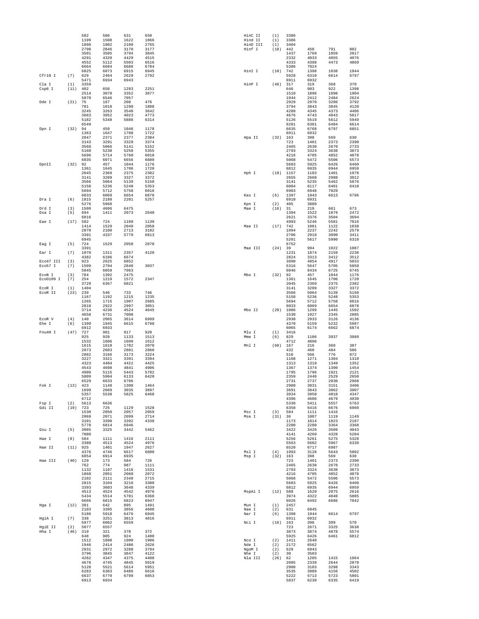|                      |            | 582<br>1199  | 586<br>1508  | 631<br>1622  | 650<br>1866  | HinC II<br>Hind II | (1)<br>(1) | 3386<br>3386 |              |              |              |
|----------------------|------------|--------------|--------------|--------------|--------------|--------------------|------------|--------------|--------------|--------------|--------------|
|                      |            | 1898         | 1902         | 2100         | 2765         | HinD III           | (1)        | 3404         |              |              |              |
|                      |            | 2798<br>3501 | 2846         | 3170<br>3794 | 3177<br>3845 | Hinf I             | (18)       | 442          | 450<br>1769  | 791<br>1859  | 802<br>2017  |
|                      |            | 4291         | 3505<br>4320 | 4429         | 4515         |                    |            | 1437<br>2332 | 4033         | 4055         | 4076         |
|                      |            | 4552         | 5112         | 5503         | 6516         |                    |            | 4333         | 4398         | 4473         | 4869         |
|                      |            | 6664<br>6825 | 6684<br>6873 | 6688<br>6915 | 6784<br>6945 | HinI I             | (10)       | 5386<br>742  | 7024<br>1398 | 1838         | 1944         |
| Cfr10 I              | (7)        | 629          | 2464         | 2629         | 2792         |                    |            | 5928         | 6310         | 6614         | 6797         |
| Cla I                | (1)        | 5471<br>3359 | 6934         | 6943         |              | HinP I             | (46)       | 6911<br>317  | 6932<br>319  | 368          | 370          |
| Csp6 I               | (11)       | 402          | 658          | 1283         | 2251         |                    |            | 646          | 903          | 922          | 1398         |
|                      |            | 2514         | 3070         | 3352         | 3877         |                    |            | 1510         | 1896         | 1898         | 1904         |
| Dde I                | (21)       | 5870<br>75   | 6546<br>167  | 7057<br>208  | 476          |                    |            | 1944<br>2929 | 2412<br>2970 | 2484<br>3286 | 2624<br>3792 |
|                      |            | 781          | 1018         | 1290         | 1808         |                    |            | 3794         | 3843         | 3845         | 4120         |
|                      |            | 3245<br>3683 | 3263<br>3952 | 3548<br>4023 | 3642<br>4773 |                    |            | 4280<br>4676 | 4345<br>4743 | 4373<br>4843 | 4406<br>5017 |
|                      |            | 5182         | 5348         | 5888         | 6314         |                    |            | 5126         | 5519         | 5612         | 5949         |
|                      |            | 6549         |              |              |              |                    |            | 6281         | 6381         | 6484         | 6614         |
| Dpn I                | (32)       | 94<br>1363   | 459<br>1647  | 1046<br>1708 | 1178<br>1722 |                    |            | 6635<br>6911 | 6768<br>6932 | 6797         | 6851         |
|                      |            | 2047         | 2371         | 2377         | 2384         | Hpa II             | (32)       | 163          | 398          | 569          | 630          |
|                      |            | 3143<br>3568 | 3291<br>5066 | 3329<br>5141 | 3374<br>5152 |                    |            | 723<br>2465  | 1401<br>2630 | 2373<br>2670 | 2390<br>2733 |
|                      |            | 5160         | 5238         | 5250         | 5355         |                    |            | 2793         | 3324         | 3638         | 3873         |
|                      |            | 5696<br>6035 | 5714<br>6071 | 5760<br>6656 | 6018<br>6880 |                    |            | 4216<br>5068 | 4705<br>5472 | 4852<br>5506 | 4878<br>5573 |
| DpnII                | (32)       | 92           | 457          | 1044         | 1176         |                    |            | 5683         | 5925         | 6426         | 6460         |
|                      |            | 1361<br>2045 | 1645         | 1706<br>2375 | 1720<br>2382 | Hph I              | (19)       | 6812         | 6935         | 6944         | 6959<br>1978 |
|                      |            | 3141         | 2369<br>3289 | 3327         | 3372         |                    |            | 1157<br>2655 | 1183<br>2660 | 1401<br>2988 | 3012         |
|                      |            | 3566         | 5064         | 5139         | 5150         |                    |            | 3141         | 5235         | 5462         | 5876         |
|                      |            | 5158<br>5694 | 5236<br>5712 | 5248<br>5758 | 5353<br>6016 |                    |            | 6084<br>6903 | 6117<br>6948 | 6401<br>7029 | 6410         |
|                      |            | 6033         | 6069         | 6654         | 6878         | Kas I              | (6)        | 1397         | 1943         | 6613         | 6796         |
| Dra I                | (6)        | 1815<br>5276 | 2188<br>5968 | 2201         | 5257         | Kpn I              | (2)        | 6910<br>405  | 6931<br>3880 |              |              |
| Drd I                | (3)        | 1500         | 4606         | 6475         |              | Mae I              | (16)       | 31           | 219          | 661          | 673          |
| Dsa I                | (5)        | 694          | 1411         | 2073         | 2640         |                    |            | 1394         | 1522         | 1879         | 2472         |
| Eae I                | (17)       | 6816<br>582  | 724          | 1109         | 1130         |                    |            | 2621<br>4993 | 3376<br>5246 | 3504<br>5581 | 3694<br>7016 |
|                      |            | 1414         | 1529         | 2049         | 2058         | Mae II             | (17)       | 742          | 1081         | 1122         | 1838         |
|                      |            | 2070<br>3391 | 2100<br>4337 | 2713<br>5779 | 3102<br>6813 |                    |            | 1994<br>2706 | 2237<br>2919 | 2242<br>3090 | 2579<br>3411 |
|                      |            | 6945         |              |              |              |                    |            | 5201         | 5617         | 5990         | 6310         |
| Eag I                | (5)        | 724          | 1529         | 2058         | 2070         | Mae III            |            | 6752         |              |              |              |
| Ear I                | (7)        | 3391<br>1070 | 1311         | 2357         | 4120         |                    | (24)       | 39<br>1231   | 994<br>1874  | 1022<br>2159 | 1087<br>2238 |
|                      |            | 4382         | 6186         | 6674         |              |                    |            | 2824         | 3313         | 3412         | 3512         |
| Eco47 III<br>Eco57 I | (3)<br>(7) | 923<br>1509  | 2625<br>2794 | 6852<br>2840 | 3037         |                    |            | 3990<br>5316 | 4854<br>5647 | 4917<br>5705 | 5033<br>5858 |
|                      |            | 5045         | 6059         | 7063         |              |                    |            | 6046         | 6434         | 6725         | 6745         |
| ECON I<br>Eco0109 I  | (3)<br>(7) | 784<br>254   | 1392<br>1219 | 2475<br>1572 | 2347         | Mbo I              | (32)       | 92<br>1361   | 457<br>1645  | 1044<br>1706 | 1176<br>1720 |
|                      |            | 3729         | 6367         | 6821         |              |                    |            | 2045         | 2369         | 2375         | 2382         |
| ECOR I               | (1)        | 1404         |              |              |              |                    |            | 3141         | 3289         | 3327         | 3372         |
| ECOR II              | (23)       | 239<br>1167  | 546<br>1192  | 733<br>1215  | 746<br>1235  |                    |            | 3566<br>5158 | 5064<br>5236 | 5139<br>5248 | 5150<br>5353 |
|                      |            | 1265         | 1715         | 1907         | 2685         |                    |            | 5694         | 5712         | 5758         | 6016         |
|                      |            | 2810<br>3714 | 2922<br>4236 | 2997<br>4524 | 3051<br>4645 | Mbo II             | (20)       | 6033<br>1086 | 6069<br>1299 | 6654<br>1445 | 6878<br>1502 |
|                      |            | 4658         | 6731         | 7008         |              |                    |            | 1530         | 1927         | 2345         | 2885         |
| ECOR V<br>Ehe I      | (4)        | 140          | 2065         | 3614         | 6999<br>6798 |                    |            | 2930         | 2933         | 3126<br>5232 | 4136<br>5987 |
|                      | (6)        | 1399<br>6912 | 1945<br>6933 | 6615         |              |                    |            | 4370<br>6065 | 5159<br>6174 | 6662         | 6874         |
| Fnu4H I              | (47)       | 727          | 901          | 917          | 920          | Mlu I              | (1)        | 3416         |              |              |              |
|                      |            | 925<br>1532  | 928<br>1606  | 1133<br>1609 | 1513<br>1612 | Mme I              | (6)        | 829<br>4712  | 1106<br>4896 | 3937         | 3989         |
|                      |            | 1615         | 1618         | 1782         | 2070         | Mnl I              | (60)       | 167          | 216          | 368          | 387          |
|                      |            | 2073<br>2882 | 2603<br>3166 | 2801<br>3173 | 2860<br>3224 |                    |            | 432<br>510   | 460<br>566   | 484<br>776   | 506<br>872   |
|                      |            | 3227         | 3321         | 3391         | 3394         |                    |            | 1168         | 1271         | 1304         | 1310         |
|                      |            | 4323<br>4543 | 4404<br>4698 | 4422<br>4841 | 4425<br>4906 |                    |            | 1313<br>1367 | 1319<br>1374 | 1349<br>1390 | 1352<br>1454 |
|                      |            | 4909         | 5115         | 5443         | 5782         |                    |            | 1795         | 1796         | 1921         | 2121         |
|                      |            | 5809<br>6529 | 5904<br>6633 | 6133<br>6706 | 6420         |                    |            | 2359<br>2731 | 2440<br>2737 | 2529<br>2830 | 2650<br>2968 |
| Fok I                | (13)       | 423          | 1140         | 1300         | 1464         |                    |            | 2980         | 3031         | 3151         | 3406         |
|                      |            | 1699         | 2669         | 3035         | 3897         |                    |            | 3691         | 3843         | 3862         | 3907         |
|                      |            | 5357<br>6712 | 5538         | 5825         | 6468         |                    |            | 3934<br>4396 | 3958<br>4606 | 4018<br>4679 | 4347<br>4930 |
| Fsp I                | (2)        | 5613         | 6636         |              |              |                    |            | 5330         | 5411         | 5557         | 5763         |
| Gdi II               | (19)       | 723<br>1530  | 725<br>2050  | 1129<br>2057 | 1528<br>2059 | Msc I              | (3)        | 6358<br>584  | 6416<br>1111 | 6676<br>1416 | 6960         |
|                      |            | 2069         | 2071         | 2099         | 2714         | Mse I              | (31)       | 36           | 1007         | 1119         | 1149         |
|                      |            | 3101<br>5778 | 3390<br>6814 | 3392<br>6946 | 4338         |                    |            | 1173<br>2200 | 1814<br>2280 | 1823<br>3364 | 2187<br>3368 |
| Gsu I                | (5)        | 3085         | 3325         | 3442         | 5462         |                    |            | 3422         | 3426         | 3509         | 4043         |
| Hae I                | (8)        | 7080<br>584  | 1111         | 1416         | 2111         |                    |            | 4141<br>5256 | 4269<br>5261 | 4328<br>5275 | 5204<br>5328 |
|                      |            | 3380         | 4513         | 4524         | 4976         |                    |            | 5563         | 5602         | 5967         | 6339         |
| Hae II               | (11)       | 925<br>4376  | 1401<br>4746 | 1947<br>6617 | 2627<br>6800 | Msl I              | (4)        | 6520<br>1993 | 6717<br>3128 | 6987<br>5643 | 5802         |
|                      |            | 6854         | 6914         | 6935         |              | Msp I              |            | $(32)$ 163   | 398          | 569          | 630          |
| Hae III              | (40)       | 129          | 173          | 584          | 726          |                    |            | 723          | 1401         | 2373         | 2390         |
|                      |            | 762<br>1132  | 774<br>1197  | 987<br>1416  | 1111<br>1531 |                    |            | 2465<br>2793 | 2630<br>3324 | 2670<br>3638 | 2733<br>3873 |
|                      |            | 1868         | 2051         | 2060         | 2072         |                    |            | 4216         | 4705         | 4852         | 4878         |
|                      |            | 2102<br>2815 | 2111<br>3104 | 2348<br>3216 | 2715<br>3380 |                    |            | 5068<br>5683 | 5472<br>5925 | 5506<br>6426 | 5573<br>6460 |
|                      |            | 3393         | 3603         | 3648         | 4339         |                    |            | 6812         | 6935         | 6944         | 6959         |
|                      |            | 4513<br>5434 | 4524<br>5514 | 4542<br>5781 | 4976<br>6368 | MspAl I            | (12)       | 588<br>3974  | 1620<br>4322 | 2075<br>4840 | 2616<br>5085 |
|                      |            | 6666         | 6815         | 6823         | 6947         |                    |            | 6026         | 6492         | 6686         | 7042         |
| Hga I                | (12)       | 381<br>2103  | 642<br>3395  | 895<br>3856  | 1491<br>4608 | Mun I<br>Nae I     | (1)<br>(2) | 2457<br>631  | 6945         |              |              |
|                      |            | 5186         | 5918         | 6476         | 6945         | Nar I              | (6)        | 1398         | 1944         | 6614         | 6797         |
| HgiA I               | (7)        | 338          | 3251         | 3813         | 4816         |                    |            | 6911         | 6932         |              |              |
| HqiE II              | (2)        | 5977<br>5077 | 6062<br>6557 | 6559         |              | Nci I              | (16)       | 163<br>723   | 398<br>2671  | 399<br>3325  | 570<br>3638  |
| Hha I                | (46)       | 319          | 321          | 370          | 372          |                    |            | 3873         | 3874         | 4878         | 5574         |
|                      |            | 648<br>1512  | 905<br>1898  | 924<br>1900  | 1400<br>1906 | Nco I              | (2)        | 5925<br>1411 | 6426<br>2640 | 6461         | 6812         |
|                      |            | 1946         | 2414         | 2486         | 2626         | Nde I              | (2)        | 2172         | 6562         |              |              |
|                      |            | 2931<br>3796 | 2972<br>3845 | 3288<br>3847 | 3794<br>4122 | NgoM I<br>Nhe I    | (2)<br>(2) | 629<br>30    | 6943<br>3503 |              |              |
|                      |            | 4282         | 4347         | 4375         | 4408         | Nla III            | (26)       | 62           | 1205         | 1415         | 1964         |
|                      |            | 4678<br>5128 | 4745<br>5521 | 4845<br>5614 | 5019<br>5951 |                    |            | 2095<br>2908 | 2339<br>3103 | 2644<br>3298 | 2878<br>3343 |
|                      |            | 6283         | 6383         | 6486         | 6616         |                    |            | 3535         | 3989         | 4156         | 4502         |
|                      |            | 6637         | 6770         | 6799         | 6853         |                    |            | 5222         | 5713         | 5723         | 5801         |
|                      |            | 6913         | 6934         |              |              |                    |            | 5837         | 6230         | 6335         | 6419         |